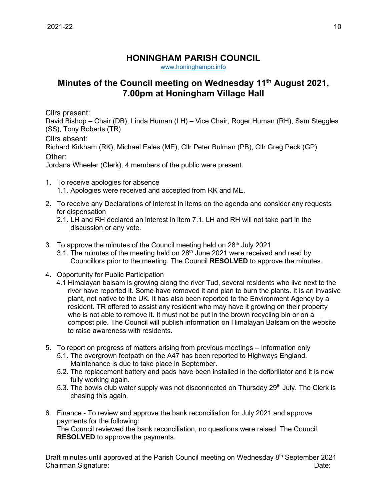## **HONINGHAM PARISH COUNCIL**

[www.honinghampc.info](http://www.honinghampc.info/)

## **Minutes of the Council meeting on Wednesday 11th August 2021, 7.00pm at Honingham Village Hall**

Cllrs present:

David Bishop – Chair (DB), Linda Human (LH) – Vice Chair, Roger Human (RH), Sam Steggles (SS), Tony Roberts (TR)

Cllrs absent:

Richard Kirkham (RK), Michael Eales (ME), Cllr Peter Bulman (PB), Cllr Greg Peck (GP) Other:

Jordana Wheeler (Clerk), 4 members of the public were present.

- 1. To receive apologies for absence 1.1. Apologies were received and accepted from RK and ME.
- 2. To receive any Declarations of Interest in items on the agenda and consider any requests for dispensation
	- 2.1. LH and RH declared an interest in item 7.1. LH and RH will not take part in the discussion or any vote.
- 3. To approve the minutes of the Council meeting held on  $28<sup>th</sup>$  July 2021
	- 3.1. The minutes of the meeting held on  $28<sup>th</sup>$  June 2021 were received and read by Councillors prior to the meeting. The Council **RESOLVED** to approve the minutes.
- 4. Opportunity for Public Participation
	- 4.1 Himalayan balsam is growing along the river Tud, several residents who live next to the river have reported it. Some have removed it and plan to burn the plants. It is an invasive plant, not native to the UK. It has also been reported to the Environment Agency by a resident. TR offered to assist any resident who may have it growing on their property who is not able to remove it. It must not be put in the brown recycling bin or on a compost pile. The Council will publish information on Himalayan Balsam on the website to raise awareness with residents.
- 5. To report on progress of matters arising from previous meetings Information only
	- 5.1. The overgrown footpath on the A47 has been reported to Highways England. Maintenance is due to take place in September.
	- 5.2. The replacement battery and pads have been installed in the defibrillator and it is now fully working again.
	- 5.3. The bowls club water supply was not disconnected on Thursday  $29<sup>th</sup>$  July. The Clerk is chasing this again.
- 6. Finance To review and approve the bank reconciliation for July 2021 and approve payments for the following:

The Council reviewed the bank reconciliation, no questions were raised. The Council **RESOLVED** to approve the payments.

Draft minutes until approved at the Parish Council meeting on Wednesday 8<sup>th</sup> September 2021 Chairman Signature: Date: